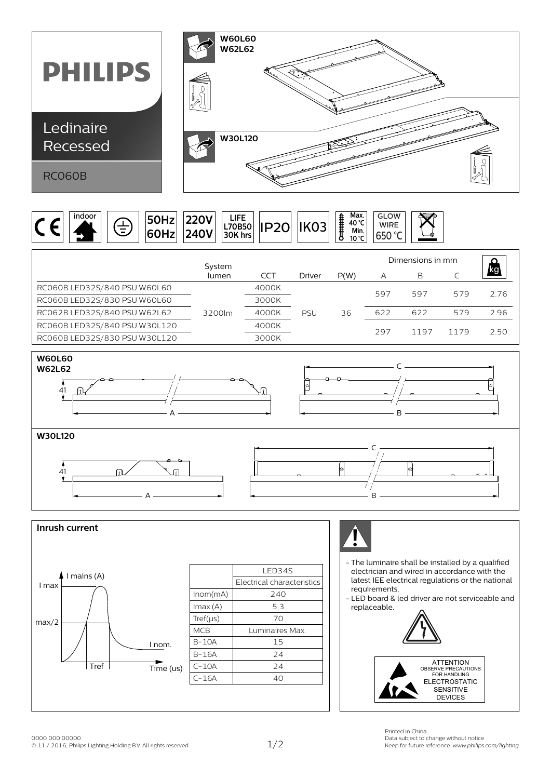



|                               | System |       |               |      | Dimensions in mm |      |      |     |
|-------------------------------|--------|-------|---------------|------|------------------|------|------|-----|
|                               | lumen  | CCT   | <b>Driver</b> | P(W) | А                | B    |      | /kg |
| RC060B LED32S/840 PSU W60L60  |        | 4000K |               |      | 597              | 597  | 579  | 276 |
| RC060B LED32S/830 PSU W60L60  |        | 3000K |               |      |                  |      |      |     |
| RC062B LED32S/840 PSU W62L62  | 3200lm | 4000K | <b>PSU</b>    | 36   | 622              | 622  | 579  | 296 |
| RC060B LED32S/840 PSU W30L120 |        | 4000K |               |      | 297              | 1197 | 1179 | 250 |
| RC060B LED32S/830 PSU W30L120 |        | 3000K |               |      |                  |      |      |     |









- The luminaire shall be installed by a qualified electrician and wired in accordance with the latest IEE electrical regulations or the national requirements.

C

þ

- LED board & led driver are not serviceable and replaceable.